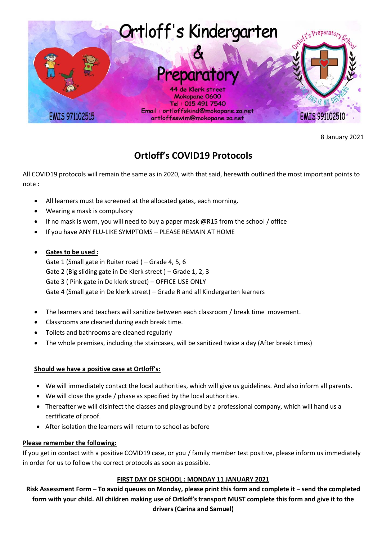

8 January 2021

# **Ortloff's COVID19 Protocols**

All COVID19 protocols will remain the same as in 2020, with that said, herewith outlined the most important points to note :

- All learners must be screened at the allocated gates, each morning.
- Wearing a mask is compulsory
- If no mask is worn, you will need to buy a paper mask @R15 from the school / office
- If you have ANY FLU-LIKE SYMPTOMS PLEASE REMAIN AT HOME
- **Gates to be used :**

Gate 1 (Small gate in Ruiter road ) – Grade 4, 5, 6 Gate 2 (Big sliding gate in De Klerk street ) – Grade 1, 2, 3 Gate 3 ( Pink gate in De klerk street) – OFFICE USE ONLY Gate 4 (Small gate in De klerk street) – Grade R and all Kindergarten learners

- The learners and teachers will sanitize between each classroom / break time movement.
- Classrooms are cleaned during each break time.
- Toilets and bathrooms are cleaned regularly
- The whole premises, including the staircases, will be sanitized twice a day (After break times)

## **Should we have a positive case at Ortloff's:**

- We will immediately contact the local authorities, which will give us guidelines. And also inform all parents.
- We will close the grade / phase as specified by the local authorities.
- Thereafter we will disinfect the classes and playground by a professional company, which will hand us a certificate of proof.
- After isolation the learners will return to school as before

## **Please remember the following:**

If you get in contact with a positive COVID19 case, or you / family member test positive, please inform us immediately in order for us to follow the correct protocols as soon as possible.

## **FIRST DAY OF SCHOOL : MONDAY 11 JANUARY 2021**

**Risk Assessment Form – To avoid queues on Monday, please print this form and complete it – send the completed form with your child. All children making use of Ortloff's transport MUST complete this form and give it to the drivers (Carina and Samuel)**